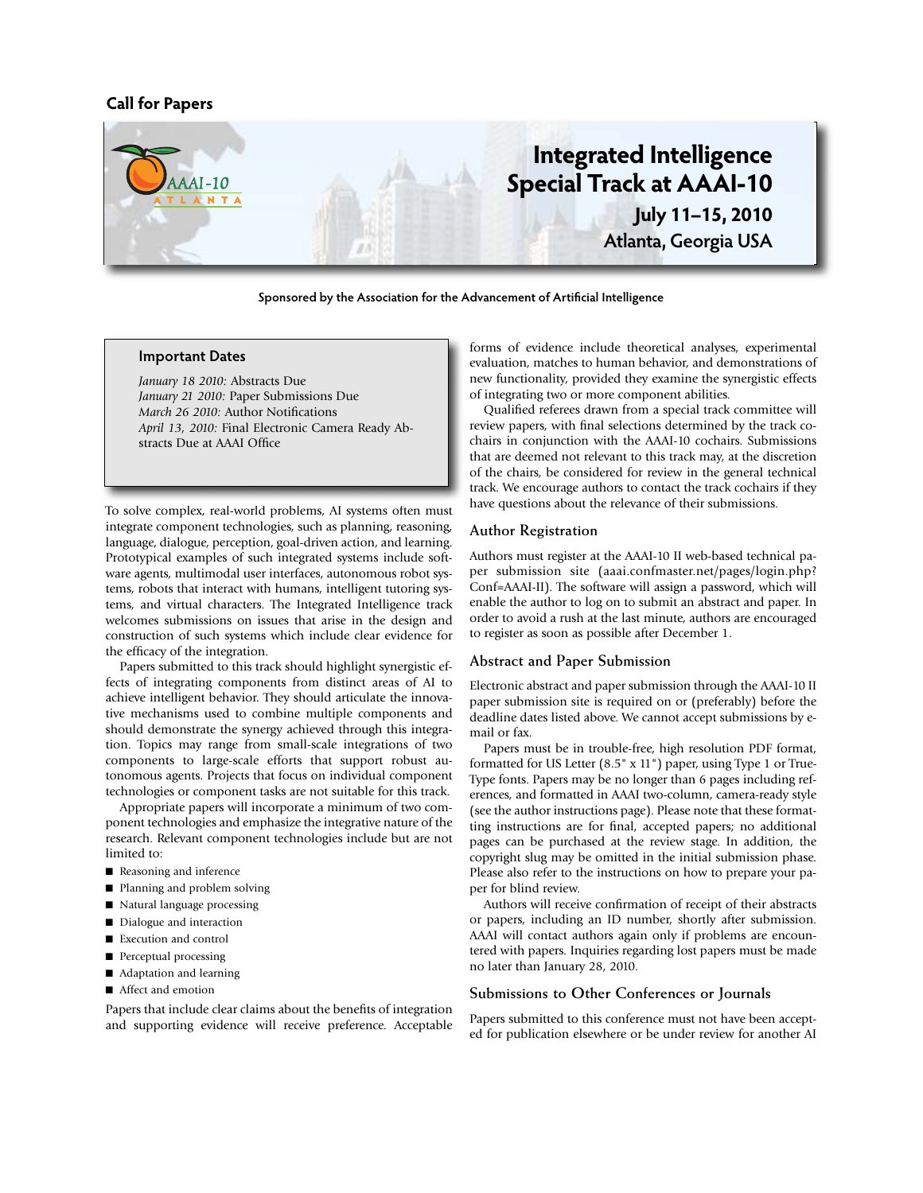# **Call for Papers**



**Sponsored by the Association for the Advancement of Artificial Intelligence**

## **Important Dates**

*January 18 2010:* Abstracts Due *January 21 2010:* Paper Submissions Due *March 26 2010:* Author Notifications *April 13, 2010:* Final Electronic Camera Ready Abstracts Due at AAAI Office

To solve complex, real-world problems, AI systems often must integrate component technologies, such as planning, reasoning, language, dialogue, perception, goal-driven action, and learning. Prototypical examples of such integrated systems include software agents, multimodal user interfaces, autonomous robot systems, robots that interact with humans, intelligent tutoring systems, and virtual characters. The Integrated Intelligence track welcomes submissions on issues that arise in the design and construction of such systems which include clear evidence for the efficacy of the integration.

Papers submitted to this track should highlight synergistic effects of integrating components from distinct areas of AI to achieve intelligent behavior. They should articulate the innovative mechanisms used to combine multiple components and should demonstrate the synergy achieved through this integration. Topics may range from small-scale integrations of two components to large-scale efforts that support robust autonomous agents. Projects that focus on individual component technologies or component tasks are not suitable for this track.

Appropriate papers will incorporate a minimum of two component technologies and emphasize the integrative nature of the research. Relevant component technologies include but are not limited to:

- Reasoning and inference
- Planning and problem solving
- Natural language processing
- Dialogue and interaction
- **Execution** and control
- **n** Perceptual processing
- Adaptation and learning
- Affect and emotion

Papers that include clear claims about the benefits of integration and supporting evidence will receive preference. Acceptable forms of evidence include theoretical analyses, experimental evaluation, matches to human behavior, and demonstrations of new functionality, provided they examine the synergistic effects of integrating two or more component abilities.

Qualified referees drawn from a special track committee will review papers, with final selections determined by the track cochairs in conjunction with the AAAI-10 cochairs. Submissions that are deemed not relevant to this track may, at the discretion of the chairs, be considered for review in the general technical track. We encourage authors to contact the track cochairs if they have questions about the relevance of their submissions.

#### **Author Registration**

Authors must register at the AAAI-10 II web-based technical paper submission site (aaai.confmaster.net/pages/login.php? Conf=AAAI-II). The software will assign a password, which will enable the author to log on to submit an abstract and paper. In order to avoid a rush at the last minute, authors are encouraged to register as soon as possible after December 1.

#### **Abstract and Paper Submission**

Electronic abstract and paper submission through the AAAI-10 II paper submission site is required on or (preferably) before the deadline dates listed above. We cannot accept submissions by email or fax.

Papers must be in trouble-free, high resolution PDF format, formatted for US Letter (8.5" x 11") paper, using Type 1 or True-Type fonts. Papers may be no longer than 6 pages including references, and formatted in AAAI two-column, camera-ready style (see the author instructions page). Please note that these formatting instructions are for final, accepted papers; no additional pages can be purchased at the review stage. In addition, the copyright slug may be omitted in the initial submission phase. Please also refer to the instructions on how to prepare your paper for blind review.

Authors will receive confirmation of receipt of their abstracts or papers, including an ID number, shortly after submission. AAAI will contact authors again only if problems are encountered with papers. Inquiries regarding lost papers must be made no later than January 28, 2010.

## **Submissions to Other Conferences or Journals**

Papers submitted to this conference must not have been accepted for publication elsewhere or be under review for another AI